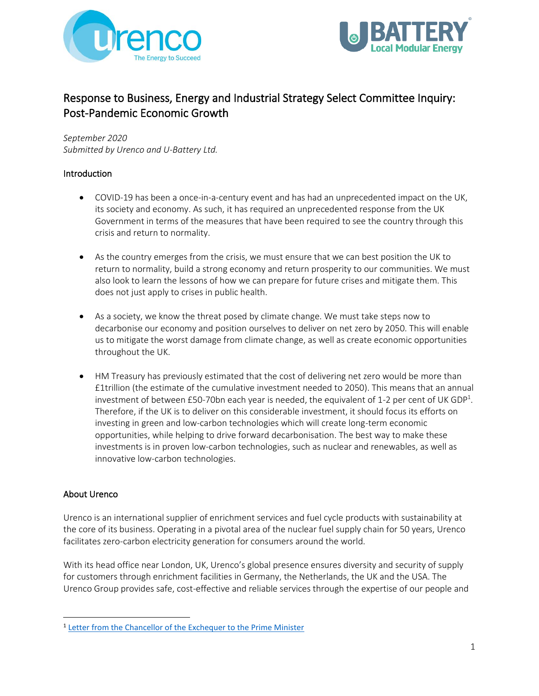



# Response to Business, Energy and Industrial Strategy Select Committee Inquiry: Post-Pandemic Economic Growth

*September 2020*

*Submitted by Urenco and U-Battery Ltd.*

## Introduction

- COVID-19 has been a once-in-a-century event and has had an unprecedented impact on the UK, its society and economy. As such, it has required an unprecedented response from the UK Government in terms of the measures that have been required to see the country through this crisis and return to normality.
- As the country emerges from the crisis, we must ensure that we can best position the UK to return to normality, build a strong economy and return prosperity to our communities. We must also look to learn the lessons of how we can prepare for future crises and mitigate them. This does not just apply to crises in public health.
- As a society, we know the threat posed by climate change. We must take steps now to decarbonise our economy and position ourselves to deliver on net zero by 2050. This will enable us to mitigate the worst damage from climate change, as well as create economic opportunities throughout the UK.
- HM Treasury has previously estimated that the cost of delivering net zero would be more than £1trillion (the estimate of the cumulative investment needed to 2050). This means that an annual investment of between £50-70bn each year is needed, the equivalent of 1-2 per cent of UK GDP<sup>1</sup>. Therefore, if the UK is to deliver on this considerable investment, it should focus its efforts on investing in green and low-carbon technologies which will create long-term economic opportunities, while helping to drive forward decarbonisation. The best way to make these investments is in proven low-carbon technologies, such as nuclear and renewables, as well as innovative low-carbon technologies.

## About Urenco

Urenco is an international supplier of enrichment services and fuel cycle products with sustainability at the core of its business. Operating in a pivotal area of the nuclear fuel supply chain for 50 years, Urenco facilitates zero-carbon electricity generation for consumers around the world.

With its head office near London, UK, Urenco's global presence ensures diversity and security of supply for customers through enrichment facilities in Germany, the Netherlands, the UK and the USA. The Urenco Group provides safe, cost-effective and reliable services through the expertise of our people and

<sup>&</sup>lt;sup>1</sup> [Letter from the Chancellor of the Exchequer to the Prime Minister](https://www.ft.com/content/036a5596-87a7-11e9-a028-86cea8523dc2)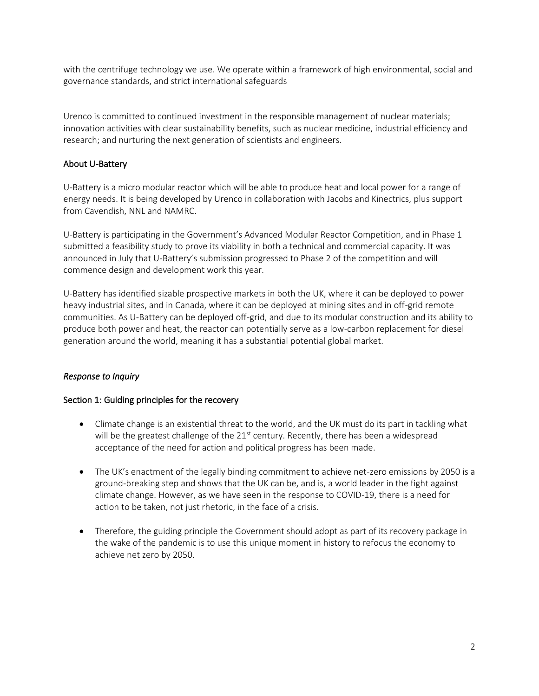with the centrifuge technology we use. We operate within a framework of high environmental, social and governance standards, and strict international safeguards

Urenco is committed to continued investment in the responsible management of nuclear materials; innovation activities with clear sustainability benefits, such as nuclear medicine, industrial efficiency and research; and nurturing the next generation of scientists and engineers.

### About U-Battery

U-Battery is a micro modular reactor which will be able to produce heat and local power for a range of energy needs. It is being developed by Urenco in collaboration with Jacobs and Kinectrics, plus support from Cavendish, NNL and NAMRC.

U-Battery is participating in the Government's Advanced Modular Reactor Competition, and in Phase 1 submitted a feasibility study to prove its viability in both a technical and commercial capacity. It was announced in July that U-Battery's submission progressed to Phase 2 of the competition and will commence design and development work this year.

U-Battery has identified sizable prospective markets in both the UK, where it can be deployed to power heavy industrial sites, and in Canada, where it can be deployed at mining sites and in off-grid remote communities. As U-Battery can be deployed off-grid, and due to its modular construction and its ability to produce both power and heat, the reactor can potentially serve as a low-carbon replacement for diesel generation around the world, meaning it has a substantial potential global market.

### *Response to Inquiry*

#### Section 1: Guiding principles for the recovery

- Climate change is an existential threat to the world, and the UK must do its part in tackling what will be the greatest challenge of the  $21<sup>st</sup>$  century. Recently, there has been a widespread acceptance of the need for action and political progress has been made.
- The UK's enactment of the legally binding commitment to achieve net-zero emissions by 2050 is a ground-breaking step and shows that the UK can be, and is, a world leader in the fight against climate change. However, as we have seen in the response to COVID-19, there is a need for action to be taken, not just rhetoric, in the face of a crisis.
- Therefore, the guiding principle the Government should adopt as part of its recovery package in the wake of the pandemic is to use this unique moment in history to refocus the economy to achieve net zero by 2050.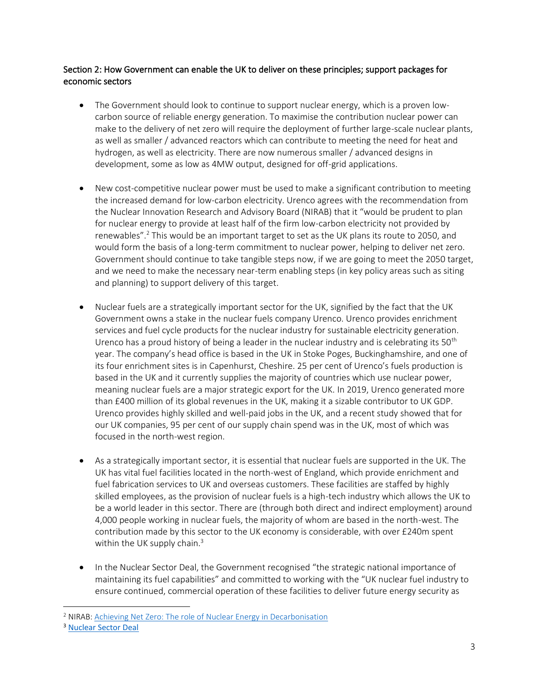### Section 2: How Government can enable the UK to deliver on these principles; support packages for economic sectors

- The Government should look to continue to support nuclear energy, which is a proven lowcarbon source of reliable energy generation. To maximise the contribution nuclear power can make to the delivery of net zero will require the deployment of further large-scale nuclear plants, as well as smaller / advanced reactors which can contribute to meeting the need for heat and hydrogen, as well as electricity. There are now numerous smaller / advanced designs in development, some as low as 4MW output, designed for off-grid applications.
- New cost-competitive nuclear power must be used to make a significant contribution to meeting the increased demand for low-carbon electricity. Urenco agrees with the recommendation from the Nuclear Innovation Research and Advisory Board (NIRAB) that it "would be prudent to plan for nuclear energy to provide at least half of the firm low-carbon electricity not provided by renewables".<sup>2</sup> This would be an important target to set as the UK plans its route to 2050, and would form the basis of a long-term commitment to nuclear power, helping to deliver net zero. Government should continue to take tangible steps now, if we are going to meet the 2050 target, and we need to make the necessary near-term enabling steps (in key policy areas such as siting and planning) to support delivery of this target.
- Nuclear fuels are a strategically important sector for the UK, signified by the fact that the UK Government owns a stake in the nuclear fuels company Urenco. Urenco provides enrichment services and fuel cycle products for the nuclear industry for sustainable electricity generation. Urenco has a proud history of being a leader in the nuclear industry and is celebrating its  $50<sup>th</sup>$ year. The company's head office is based in the UK in Stoke Poges, Buckinghamshire, and one of its four enrichment sites is in Capenhurst, Cheshire. 25 per cent of Urenco's fuels production is based in the UK and it currently supplies the majority of countries which use nuclear power, meaning nuclear fuels are a major strategic export for the UK. In 2019, Urenco generated more than £400 million of its global revenues in the UK, making it a sizable contributor to UK GDP. Urenco provides highly skilled and well-paid jobs in the UK, and a recent study showed that for our UK companies, 95 per cent of our supply chain spend was in the UK, most of which was focused in the north-west region.
- As a strategically important sector, it is essential that nuclear fuels are supported in the UK. The UK has vital fuel facilities located in the north-west of England, which provide enrichment and fuel fabrication services to UK and overseas customers. These facilities are staffed by highly skilled employees, as the provision of nuclear fuels is a high-tech industry which allows the UK to be a world leader in this sector. There are (through both direct and indirect employment) around 4,000 people working in nuclear fuels, the majority of whom are based in the north-west. The contribution made by this sector to the UK economy is considerable, with over £240m spent within the UK supply chain. $3$
- In the Nuclear Sector Deal, the Government recognised "the strategic national importance of maintaining its fuel capabilities" and committed to working with the "UK nuclear fuel industry to ensure continued, commercial operation of these facilities to deliver future energy security as

<sup>&</sup>lt;sup>2</sup> NIRAB[: Achieving Net Zero: The role of Nuclear Energy in Decarbonisation](https://www.nirab.org.uk/application/files/6315/9160/6859/NIRAB_Achieving_Net_Zero_-_The_Role_of_Nuclear_Energy_in_Decarbonisation_-_Screen_View.pdf)

<sup>3</sup> [Nuclear Sector Deal](https://assets.publishing.service.gov.uk/government/uploads/system/uploads/attachment_data/file/720405/Final_Version_BEIS_Nuclear_SD.PDF)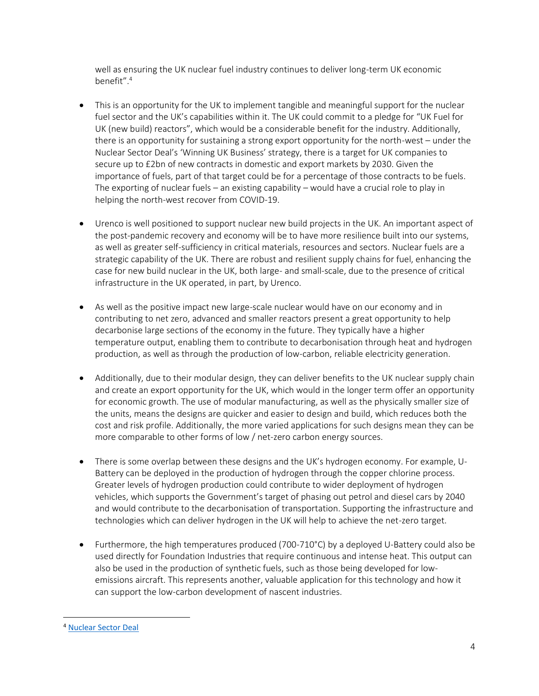well as ensuring the UK nuclear fuel industry continues to deliver long-term UK economic benefit".<sup>4</sup>

- This is an opportunity for the UK to implement tangible and meaningful support for the nuclear fuel sector and the UK's capabilities within it. The UK could commit to a pledge for "UK Fuel for UK (new build) reactors", which would be a considerable benefit for the industry. Additionally, there is an opportunity for sustaining a strong export opportunity for the north-west – under the Nuclear Sector Deal's 'Winning UK Business' strategy, there is a target for UK companies to secure up to £2bn of new contracts in domestic and export markets by 2030. Given the importance of fuels, part of that target could be for a percentage of those contracts to be fuels. The exporting of nuclear fuels – an existing capability – would have a crucial role to play in helping the north-west recover from COVID-19.
- Urenco is well positioned to support nuclear new build projects in the UK. An important aspect of the post-pandemic recovery and economy will be to have more resilience built into our systems, as well as greater self-sufficiency in critical materials, resources and sectors. Nuclear fuels are a strategic capability of the UK. There are robust and resilient supply chains for fuel, enhancing the case for new build nuclear in the UK, both large- and small-scale, due to the presence of critical infrastructure in the UK operated, in part, by Urenco.
- As well as the positive impact new large-scale nuclear would have on our economy and in contributing to net zero, advanced and smaller reactors present a great opportunity to help decarbonise large sections of the economy in the future. They typically have a higher temperature output, enabling them to contribute to decarbonisation through heat and hydrogen production, as well as through the production of low-carbon, reliable electricity generation.
- Additionally, due to their modular design, they can deliver benefits to the UK nuclear supply chain and create an export opportunity for the UK, which would in the longer term offer an opportunity for economic growth. The use of modular manufacturing, as well as the physically smaller size of the units, means the designs are quicker and easier to design and build, which reduces both the cost and risk profile. Additionally, the more varied applications for such designs mean they can be more comparable to other forms of low / net-zero carbon energy sources.
- There is some overlap between these designs and the UK's hydrogen economy. For example, U-Battery can be deployed in the production of hydrogen through the copper chlorine process. Greater levels of hydrogen production could contribute to wider deployment of hydrogen vehicles, which supports the Government's target of phasing out petrol and diesel cars by 2040 and would contribute to the decarbonisation of transportation. Supporting the infrastructure and technologies which can deliver hydrogen in the UK will help to achieve the net-zero target.
- Furthermore, the high temperatures produced (700-710°C) by a deployed U-Battery could also be used directly for Foundation Industries that require continuous and intense heat. This output can also be used in the production of synthetic fuels, such as those being developed for lowemissions aircraft. This represents another, valuable application for this technology and how it can support the low-carbon development of nascent industries.

<sup>4</sup> [Nuclear Sector Deal](https://assets.publishing.service.gov.uk/government/uploads/system/uploads/attachment_data/file/720405/Final_Version_BEIS_Nuclear_SD.PDF)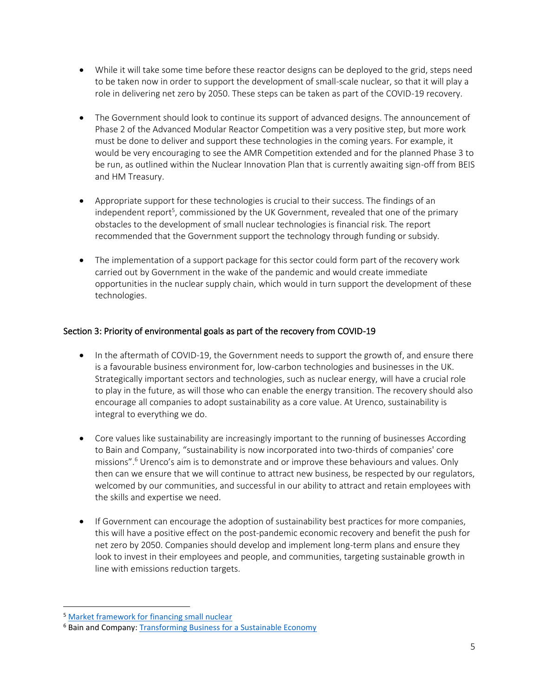- While it will take some time before these reactor designs can be deployed to the grid, steps need to be taken now in order to support the development of small-scale nuclear, so that it will play a role in delivering net zero by 2050. These steps can be taken as part of the COVID-19 recovery.
- The Government should look to continue its support of advanced designs. The announcement of Phase 2 of the Advanced Modular Reactor Competition was a very positive step, but more work must be done to deliver and support these technologies in the coming years. For example, it would be very encouraging to see the AMR Competition extended and for the planned Phase 3 to be run, as outlined within the Nuclear Innovation Plan that is currently awaiting sign-off from BEIS and HM Treasury.
- Appropriate support for these technologies is crucial to their success. The findings of an independent report<sup>5</sup>, commissioned by the UK Government, revealed that one of the primary obstacles to the development of small nuclear technologies is financial risk. The report recommended that the Government support the technology through funding or subsidy.
- The implementation of a support package for this sector could form part of the recovery work carried out by Government in the wake of the pandemic and would create immediate opportunities in the nuclear supply chain, which would in turn support the development of these technologies.

## Section 3: Priority of environmental goals as part of the recovery from COVID-19

- In the aftermath of COVID-19, the Government needs to support the growth of, and ensure there is a favourable business environment for, low-carbon technologies and businesses in the UK. Strategically important sectors and technologies, such as nuclear energy, will have a crucial role to play in the future, as will those who can enable the energy transition. The recovery should also encourage all companies to adopt sustainability as a core value. At Urenco, sustainability is integral to everything we do.
- Core values like sustainability are increasingly important to the running of businesses According to Bain and Company, "sustainability is now incorporated into two-thirds of companies' core missions".<sup>6</sup> Urenco's aim is to demonstrate and or improve these behaviours and values. Only then can we ensure that we will continue to attract new business, be respected by our regulators, welcomed by our communities, and successful in our ability to attract and retain employees with the skills and expertise we need.
- If Government can encourage the adoption of sustainability best practices for more companies, this will have a positive effect on the post-pandemic economic recovery and benefit the push for net zero by 2050. Companies should develop and implement long-term plans and ensure they look to invest in their employees and people, and communities, targeting sustainable growth in line with emissions reduction targets.

<sup>5</sup> [Market framework for financing small nuclear](http://data.parliament.uk/DepositedPapers/Files/DEP2018-0761/Market_Framework_for_Financing_Small_Nuclear_EFWG_Final_Report.pdf)

<sup>&</sup>lt;sup>6</sup> Bain and Company: **Transforming Business for a Sustainable Economy**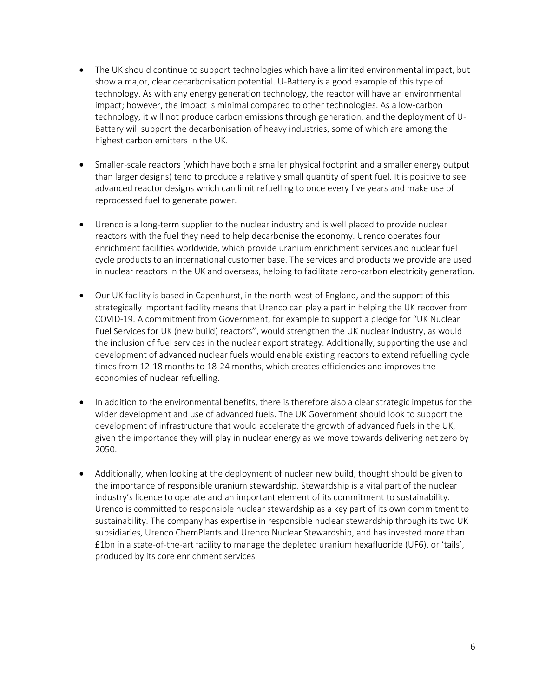- The UK should continue to support technologies which have a limited environmental impact, but show a major, clear decarbonisation potential. U-Battery is a good example of this type of technology. As with any energy generation technology, the reactor will have an environmental impact; however, the impact is minimal compared to other technologies. As a low-carbon technology, it will not produce carbon emissions through generation, and the deployment of U-Battery will support the decarbonisation of heavy industries, some of which are among the highest carbon emitters in the UK.
- Smaller-scale reactors (which have both a smaller physical footprint and a smaller energy output than larger designs) tend to produce a relatively small quantity of spent fuel. It is positive to see advanced reactor designs which can limit refuelling to once every five years and make use of reprocessed fuel to generate power.
- Urenco is a long-term supplier to the nuclear industry and is well placed to provide nuclear reactors with the fuel they need to help decarbonise the economy. Urenco operates four enrichment facilities worldwide, which provide uranium enrichment services and nuclear fuel cycle products to an international customer base. The services and products we provide are used in nuclear reactors in the UK and overseas, helping to facilitate zero-carbon electricity generation.
- Our UK facility is based in Capenhurst, in the north-west of England, and the support of this strategically important facility means that Urenco can play a part in helping the UK recover from COVID-19. A commitment from Government, for example to support a pledge for "UK Nuclear Fuel Services for UK (new build) reactors", would strengthen the UK nuclear industry, as would the inclusion of fuel services in the nuclear export strategy. Additionally, supporting the use and development of advanced nuclear fuels would enable existing reactors to extend refuelling cycle times from 12-18 months to 18-24 months, which creates efficiencies and improves the economies of nuclear refuelling.
- In addition to the environmental benefits, there is therefore also a clear strategic impetus for the wider development and use of advanced fuels. The UK Government should look to support the development of infrastructure that would accelerate the growth of advanced fuels in the UK, given the importance they will play in nuclear energy as we move towards delivering net zero by 2050.
- Additionally, when looking at the deployment of nuclear new build, thought should be given to the importance of responsible uranium stewardship. Stewardship is a vital part of the nuclear industry's licence to operate and an important element of its commitment to sustainability. Urenco is committed to responsible nuclear stewardship as a key part of its own commitment to sustainability. The company has expertise in responsible nuclear stewardship through its two UK subsidiaries, Urenco ChemPlants and Urenco Nuclear Stewardship, and has invested more than £1bn in a state-of-the-art facility to manage the depleted uranium hexafluoride (UF6), or 'tails', produced by its core enrichment services.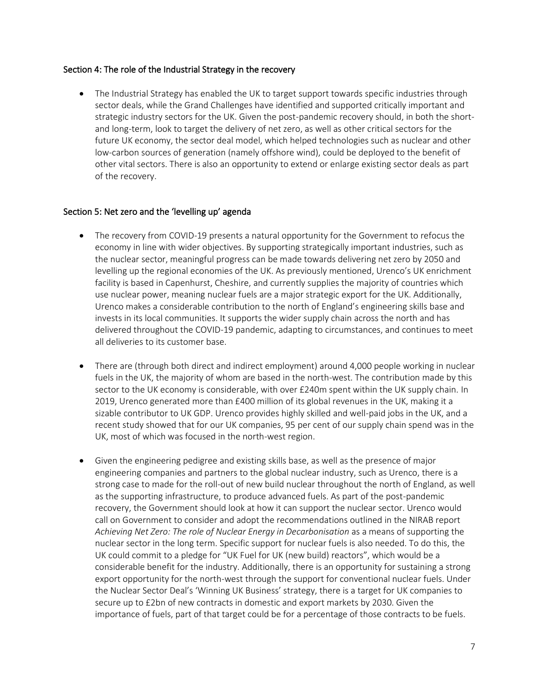#### Section 4: The role of the Industrial Strategy in the recovery

• The Industrial Strategy has enabled the UK to target support towards specific industries through sector deals, while the Grand Challenges have identified and supported critically important and strategic industry sectors for the UK. Given the post-pandemic recovery should, in both the shortand long-term, look to target the delivery of net zero, as well as other critical sectors for the future UK economy, the sector deal model, which helped technologies such as nuclear and other low-carbon sources of generation (namely offshore wind), could be deployed to the benefit of other vital sectors. There is also an opportunity to extend or enlarge existing sector deals as part of the recovery.

#### Section 5: Net zero and the 'levelling up' agenda

- The recovery from COVID-19 presents a natural opportunity for the Government to refocus the economy in line with wider objectives. By supporting strategically important industries, such as the nuclear sector, meaningful progress can be made towards delivering net zero by 2050 and levelling up the regional economies of the UK. As previously mentioned, Urenco's UK enrichment facility is based in Capenhurst, Cheshire, and currently supplies the majority of countries which use nuclear power, meaning nuclear fuels are a major strategic export for the UK. Additionally, Urenco makes a considerable contribution to the north of England's engineering skills base and invests in its local communities. It supports the wider supply chain across the north and has delivered throughout the COVID-19 pandemic, adapting to circumstances, and continues to meet all deliveries to its customer base.
- There are (through both direct and indirect employment) around 4,000 people working in nuclear fuels in the UK, the majority of whom are based in the north-west. The contribution made by this sector to the UK economy is considerable, with over £240m spent within the UK supply chain. In 2019, Urenco generated more than £400 million of its global revenues in the UK, making it a sizable contributor to UK GDP. Urenco provides highly skilled and well-paid jobs in the UK, and a recent study showed that for our UK companies, 95 per cent of our supply chain spend was in the UK, most of which was focused in the north-west region.
- Given the engineering pedigree and existing skills base, as well as the presence of major engineering companies and partners to the global nuclear industry, such as Urenco, there is a strong case to made for the roll-out of new build nuclear throughout the north of England, as well as the supporting infrastructure, to produce advanced fuels. As part of the post-pandemic recovery, the Government should look at how it can support the nuclear sector. Urenco would call on Government to consider and adopt the recommendations outlined in the NIRAB report *Achieving Net Zero: The role of Nuclear Energy in Decarbonisation* as a means of supporting the nuclear sector in the long term. Specific support for nuclear fuels is also needed. To do this, the UK could commit to a pledge for "UK Fuel for UK (new build) reactors", which would be a considerable benefit for the industry. Additionally, there is an opportunity for sustaining a strong export opportunity for the north-west through the support for conventional nuclear fuels. Under the Nuclear Sector Deal's 'Winning UK Business' strategy, there is a target for UK companies to secure up to £2bn of new contracts in domestic and export markets by 2030. Given the importance of fuels, part of that target could be for a percentage of those contracts to be fuels.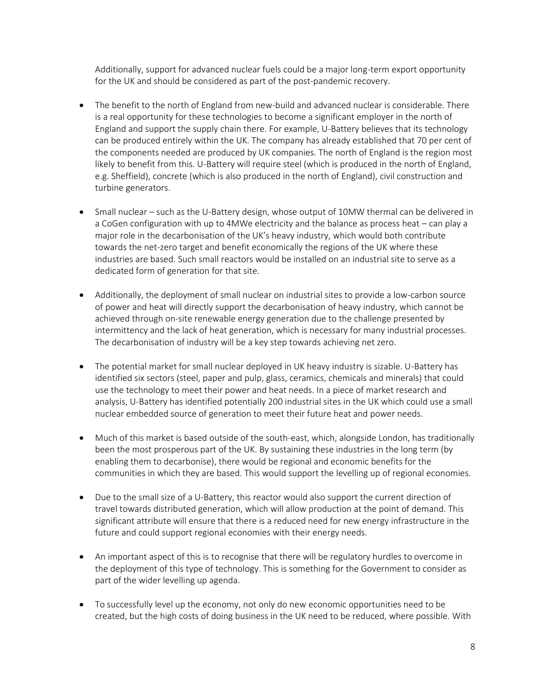Additionally, support for advanced nuclear fuels could be a major long-term export opportunity for the UK and should be considered as part of the post-pandemic recovery.

- The benefit to the north of England from new-build and advanced nuclear is considerable. There is a real opportunity for these technologies to become a significant employer in the north of England and support the supply chain there. For example, U-Battery believes that its technology can be produced entirely within the UK. The company has already established that 70 per cent of the components needed are produced by UK companies. The north of England is the region most likely to benefit from this. U-Battery will require steel (which is produced in the north of England, e.g. Sheffield), concrete (which is also produced in the north of England), civil construction and turbine generators.
- Small nuclear such as the U-Battery design, whose output of 10MW thermal can be delivered in a CoGen configuration with up to 4MWe electricity and the balance as process heat – can play a major role in the decarbonisation of the UK's heavy industry, which would both contribute towards the net-zero target and benefit economically the regions of the UK where these industries are based. Such small reactors would be installed on an industrial site to serve as a dedicated form of generation for that site.
- Additionally, the deployment of small nuclear on industrial sites to provide a low-carbon source of power and heat will directly support the decarbonisation of heavy industry, which cannot be achieved through on-site renewable energy generation due to the challenge presented by intermittency and the lack of heat generation, which is necessary for many industrial processes. The decarbonisation of industry will be a key step towards achieving net zero.
- The potential market for small nuclear deployed in UK heavy industry is sizable. U-Battery has identified six sectors (steel, paper and pulp, glass, ceramics, chemicals and minerals) that could use the technology to meet their power and heat needs. In a piece of market research and analysis, U-Battery has identified potentially 200 industrial sites in the UK which could use a small nuclear embedded source of generation to meet their future heat and power needs.
- Much of this market is based outside of the south-east, which, alongside London, has traditionally been the most prosperous part of the UK. By sustaining these industries in the long term (by enabling them to decarbonise), there would be regional and economic benefits for the communities in which they are based. This would support the levelling up of regional economies.
- Due to the small size of a U-Battery, this reactor would also support the current direction of travel towards distributed generation, which will allow production at the point of demand. This significant attribute will ensure that there is a reduced need for new energy infrastructure in the future and could support regional economies with their energy needs.
- An important aspect of this is to recognise that there will be regulatory hurdles to overcome in the deployment of this type of technology. This is something for the Government to consider as part of the wider levelling up agenda.
- To successfully level up the economy, not only do new economic opportunities need to be created, but the high costs of doing business in the UK need to be reduced, where possible. With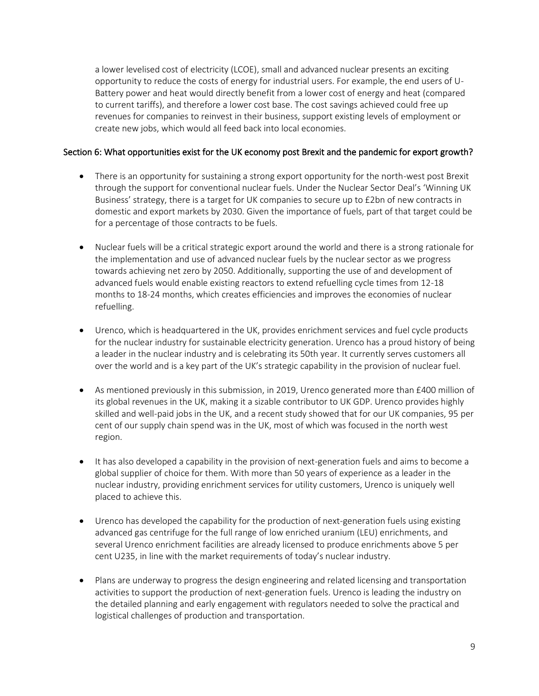a lower levelised cost of electricity (LCOE), small and advanced nuclear presents an exciting opportunity to reduce the costs of energy for industrial users. For example, the end users of U-Battery power and heat would directly benefit from a lower cost of energy and heat (compared to current tariffs), and therefore a lower cost base. The cost savings achieved could free up revenues for companies to reinvest in their business, support existing levels of employment or create new jobs, which would all feed back into local economies.

#### Section 6: What opportunities exist for the UK economy post Brexit and the pandemic for export growth?

- There is an opportunity for sustaining a strong export opportunity for the north-west post Brexit through the support for conventional nuclear fuels. Under the Nuclear Sector Deal's 'Winning UK Business' strategy, there is a target for UK companies to secure up to £2bn of new contracts in domestic and export markets by 2030. Given the importance of fuels, part of that target could be for a percentage of those contracts to be fuels.
- Nuclear fuels will be a critical strategic export around the world and there is a strong rationale for the implementation and use of advanced nuclear fuels by the nuclear sector as we progress towards achieving net zero by 2050. Additionally, supporting the use of and development of advanced fuels would enable existing reactors to extend refuelling cycle times from 12-18 months to 18-24 months, which creates efficiencies and improves the economies of nuclear refuelling.
- Urenco, which is headquartered in the UK, provides enrichment services and fuel cycle products for the nuclear industry for sustainable electricity generation. Urenco has a proud history of being a leader in the nuclear industry and is celebrating its 50th year. It currently serves customers all over the world and is a key part of the UK's strategic capability in the provision of nuclear fuel.
- As mentioned previously in this submission, in 2019, Urenco generated more than £400 million of its global revenues in the UK, making it a sizable contributor to UK GDP. Urenco provides highly skilled and well-paid jobs in the UK, and a recent study showed that for our UK companies, 95 per cent of our supply chain spend was in the UK, most of which was focused in the north west region.
- It has also developed a capability in the provision of next-generation fuels and aims to become a global supplier of choice for them. With more than 50 years of experience as a leader in the nuclear industry, providing enrichment services for utility customers, Urenco is uniquely well placed to achieve this.
- Urenco has developed the capability for the production of next-generation fuels using existing advanced gas centrifuge for the full range of low enriched uranium (LEU) enrichments, and several Urenco enrichment facilities are already licensed to produce enrichments above 5 per cent U235, in line with the market requirements of today's nuclear industry.
- Plans are underway to progress the design engineering and related licensing and transportation activities to support the production of next-generation fuels. Urenco is leading the industry on the detailed planning and early engagement with regulators needed to solve the practical and logistical challenges of production and transportation.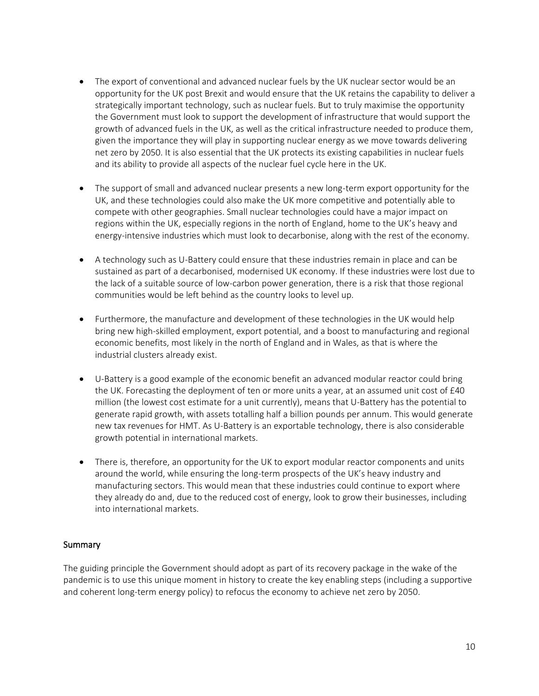- The export of conventional and advanced nuclear fuels by the UK nuclear sector would be an opportunity for the UK post Brexit and would ensure that the UK retains the capability to deliver a strategically important technology, such as nuclear fuels. But to truly maximise the opportunity the Government must look to support the development of infrastructure that would support the growth of advanced fuels in the UK, as well as the critical infrastructure needed to produce them, given the importance they will play in supporting nuclear energy as we move towards delivering net zero by 2050. It is also essential that the UK protects its existing capabilities in nuclear fuels and its ability to provide all aspects of the nuclear fuel cycle here in the UK.
- The support of small and advanced nuclear presents a new long-term export opportunity for the UK, and these technologies could also make the UK more competitive and potentially able to compete with other geographies. Small nuclear technologies could have a major impact on regions within the UK, especially regions in the north of England, home to the UK's heavy and energy-intensive industries which must look to decarbonise, along with the rest of the economy.
- A technology such as U-Battery could ensure that these industries remain in place and can be sustained as part of a decarbonised, modernised UK economy. If these industries were lost due to the lack of a suitable source of low-carbon power generation, there is a risk that those regional communities would be left behind as the country looks to level up.
- Furthermore, the manufacture and development of these technologies in the UK would help bring new high-skilled employment, export potential, and a boost to manufacturing and regional economic benefits, most likely in the north of England and in Wales, as that is where the industrial clusters already exist.
- U-Battery is a good example of the economic benefit an advanced modular reactor could bring the UK. Forecasting the deployment of ten or more units a year, at an assumed unit cost of  $£40$ million (the lowest cost estimate for a unit currently), means that U-Battery has the potential to generate rapid growth, with assets totalling half a billion pounds per annum. This would generate new tax revenues for HMT. As U-Battery is an exportable technology, there is also considerable growth potential in international markets.
- There is, therefore, an opportunity for the UK to export modular reactor components and units around the world, while ensuring the long-term prospects of the UK's heavy industry and manufacturing sectors. This would mean that these industries could continue to export where they already do and, due to the reduced cost of energy, look to grow their businesses, including into international markets.

### Summary

The guiding principle the Government should adopt as part of its recovery package in the wake of the pandemic is to use this unique moment in history to create the key enabling steps (including a supportive and coherent long-term energy policy) to refocus the economy to achieve net zero by 2050.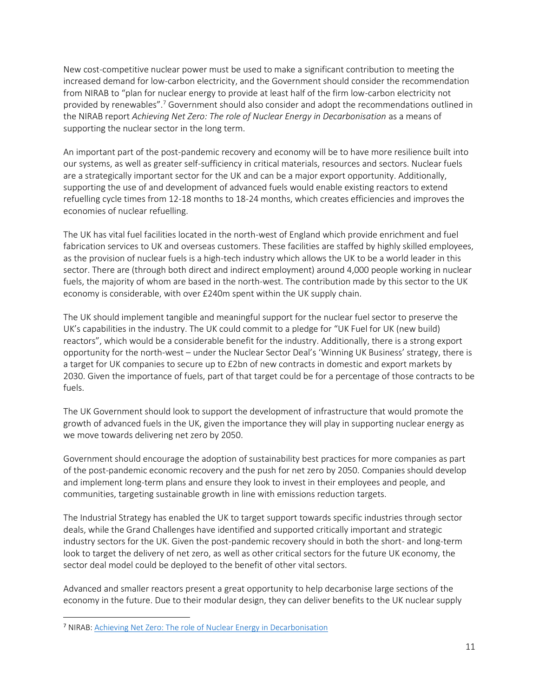New cost-competitive nuclear power must be used to make a significant contribution to meeting the increased demand for low-carbon electricity, and the Government should consider the recommendation from NIRAB to "plan for nuclear energy to provide at least half of the firm low-carbon electricity not provided by renewables".<sup>7</sup> Government should also consider and adopt the recommendations outlined in the NIRAB report *Achieving Net Zero: The role of Nuclear Energy in Decarbonisation* as a means of supporting the nuclear sector in the long term.

An important part of the post-pandemic recovery and economy will be to have more resilience built into our systems, as well as greater self-sufficiency in critical materials, resources and sectors. Nuclear fuels are a strategically important sector for the UK and can be a major export opportunity. Additionally, supporting the use of and development of advanced fuels would enable existing reactors to extend refuelling cycle times from 12-18 months to 18-24 months, which creates efficiencies and improves the economies of nuclear refuelling.

The UK has vital fuel facilities located in the north-west of England which provide enrichment and fuel fabrication services to UK and overseas customers. These facilities are staffed by highly skilled employees, as the provision of nuclear fuels is a high-tech industry which allows the UK to be a world leader in this sector. There are (through both direct and indirect employment) around 4,000 people working in nuclear fuels, the majority of whom are based in the north-west. The contribution made by this sector to the UK economy is considerable, with over £240m spent within the UK supply chain.

The UK should implement tangible and meaningful support for the nuclear fuel sector to preserve the UK's capabilities in the industry. The UK could commit to a pledge for "UK Fuel for UK (new build) reactors", which would be a considerable benefit for the industry. Additionally, there is a strong export opportunity for the north-west – under the Nuclear Sector Deal's 'Winning UK Business' strategy, there is a target for UK companies to secure up to £2bn of new contracts in domestic and export markets by 2030. Given the importance of fuels, part of that target could be for a percentage of those contracts to be fuels.

The UK Government should look to support the development of infrastructure that would promote the growth of advanced fuels in the UK, given the importance they will play in supporting nuclear energy as we move towards delivering net zero by 2050.

Government should encourage the adoption of sustainability best practices for more companies as part of the post-pandemic economic recovery and the push for net zero by 2050. Companies should develop and implement long-term plans and ensure they look to invest in their employees and people, and communities, targeting sustainable growth in line with emissions reduction targets.

The Industrial Strategy has enabled the UK to target support towards specific industries through sector deals, while the Grand Challenges have identified and supported critically important and strategic industry sectors for the UK. Given the post-pandemic recovery should in both the short- and long-term look to target the delivery of net zero, as well as other critical sectors for the future UK economy, the sector deal model could be deployed to the benefit of other vital sectors.

Advanced and smaller reactors present a great opportunity to help decarbonise large sections of the economy in the future. Due to their modular design, they can deliver benefits to the UK nuclear supply

<sup>7</sup> NIRAB[: Achieving Net Zero: The role of Nuclear Energy in Decarbonisation](https://www.nirab.org.uk/application/files/6315/9160/6859/NIRAB_Achieving_Net_Zero_-_The_Role_of_Nuclear_Energy_in_Decarbonisation_-_Screen_View.pdf)